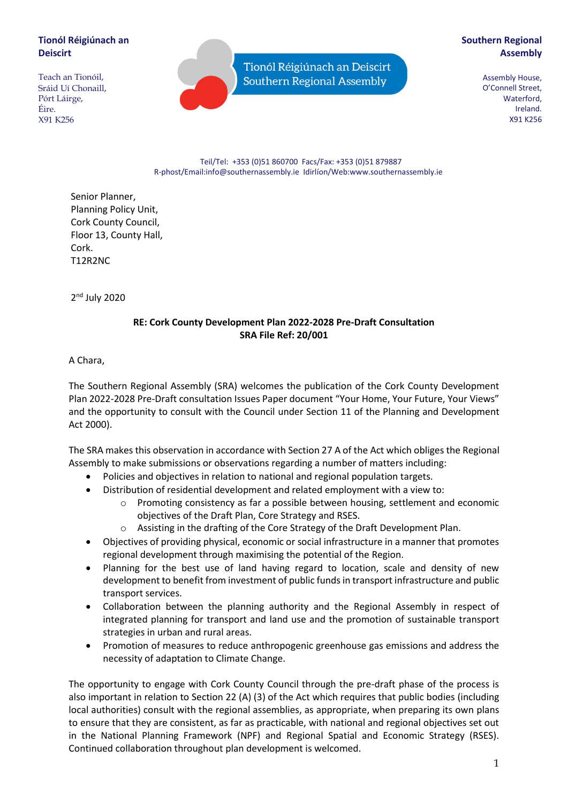# **Tionól Réigiúnach an Deiscirt**

Teach an Tionóil, Sráid Uí Chonaill, Pórt Láirge, Éire. X91 K256

Tionól Réigiúnach an Deiscirt Southern Regional Assembly

# **Southern Regional Assembly**

Assembly House, O'Connell Street, Waterford, Ireland. X91 K256

Teil/Tel: +353 (0)51 860700 Facs/Fax: +353 (0)51 879887 R-phost/Email:info@southernassembly.ie Idirlíon/Web:www.southernassembly.ie

Senior Planner, Planning Policy Unit, Cork County Council, Floor 13, County Hall, Cork. T12R2NC

2<sup>nd</sup> July 2020

## **RE: Cork County Development Plan 2022-2028 Pre-Draft Consultation SRA File Ref: 20/001**

A Chara,

The Southern Regional Assembly (SRA) welcomes the publication of the Cork County Development Plan 2022-2028 Pre-Draft consultation Issues Paper document "Your Home, Your Future, Your Views" and the opportunity to consult with the Council under Section 11 of the Planning and Development Act 2000).

The SRA makes this observation in accordance with Section 27 A of the Act which obliges the Regional Assembly to make submissions or observations regarding a number of matters including:

- Policies and objectives in relation to national and regional population targets.
- Distribution of residential development and related employment with a view to:
	- o Promoting consistency as far a possible between housing, settlement and economic objectives of the Draft Plan, Core Strategy and RSES.
	- o Assisting in the drafting of the Core Strategy of the Draft Development Plan.
- Objectives of providing physical, economic or social infrastructure in a manner that promotes regional development through maximising the potential of the Region.
- Planning for the best use of land having regard to location, scale and density of new development to benefit from investment of public funds in transport infrastructure and public transport services.
- Collaboration between the planning authority and the Regional Assembly in respect of integrated planning for transport and land use and the promotion of sustainable transport strategies in urban and rural areas.
- Promotion of measures to reduce anthropogenic greenhouse gas emissions and address the necessity of adaptation to Climate Change.

The opportunity to engage with Cork County Council through the pre-draft phase of the process is also important in relation to Section 22 (A) (3) of the Act which requires that public bodies (including local authorities) consult with the regional assemblies, as appropriate, when preparing its own plans to ensure that they are consistent, as far as practicable, with national and regional objectives set out in the National Planning Framework (NPF) and Regional Spatial and Economic Strategy (RSES). Continued collaboration throughout plan development is welcomed.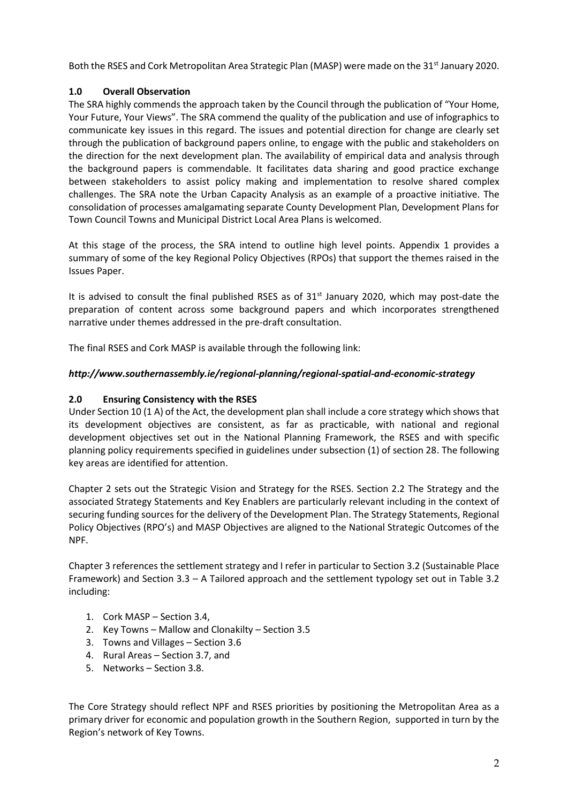Both the RSES and Cork Metropolitan Area Strategic Plan (MASP) were made on the 31<sup>st</sup> January 2020.

# **1.0 Overall Observation**

The SRA highly commends the approach taken by the Council through the publication of "Your Home, Your Future, Your Views". The SRA commend the quality of the publication and use of infographics to communicate key issues in this regard. The issues and potential direction for change are clearly set through the publication of background papers online, to engage with the public and stakeholders on the direction for the next development plan. The availability of empirical data and analysis through the background papers is commendable. It facilitates data sharing and good practice exchange between stakeholders to assist policy making and implementation to resolve shared complex challenges. The SRA note the Urban Capacity Analysis as an example of a proactive initiative. The consolidation of processes amalgamating separate County Development Plan, Development Plans for Town Council Towns and Municipal District Local Area Plans is welcomed.

At this stage of the process, the SRA intend to outline high level points. Appendix 1 provides a summary of some of the key Regional Policy Objectives (RPOs) that support the themes raised in the Issues Paper.

It is advised to consult the final published RSES as of 31<sup>st</sup> January 2020, which may post-date the preparation of content across some background papers and which incorporates strengthened narrative under themes addressed in the pre-draft consultation.

The final RSES and Cork MASP is available through the following link:

# *http://www.southernassembly.ie/regional-planning/regional-spatial-and-economic-strategy*

# **2.0 Ensuring Consistency with the RSES**

Under Section 10 (1 A) of the Act, the development plan shall include a core strategy which shows that its development objectives are consistent, as far as practicable, with national and regional development objectives set out in the National Planning Framework, the RSES and with specific planning policy requirements specified in guidelines under subsection (1) of section 28. The following key areas are identified for attention.

Chapter 2 sets out the Strategic Vision and Strategy for the RSES. Section 2.2 The Strategy and the associated Strategy Statements and Key Enablers are particularly relevant including in the context of securing funding sources for the delivery of the Development Plan. The Strategy Statements, Regional Policy Objectives (RPO's) and MASP Objectives are aligned to the National Strategic Outcomes of the NPF.

Chapter 3 references the settlement strategy and I refer in particular to Section 3.2 (Sustainable Place Framework) and Section 3.3 – A Tailored approach and the settlement typology set out in Table 3.2 including:

- 1. Cork MASP Section 3.4,
- 2. Key Towns Mallow and Clonakilty Section 3.5
- 3. Towns and Villages Section 3.6
- 4. Rural Areas Section 3.7, and
- 5. Networks Section 3.8.

The Core Strategy should reflect NPF and RSES priorities by positioning the Metropolitan Area as a primary driver for economic and population growth in the Southern Region, supported in turn by the Region's network of Key Towns.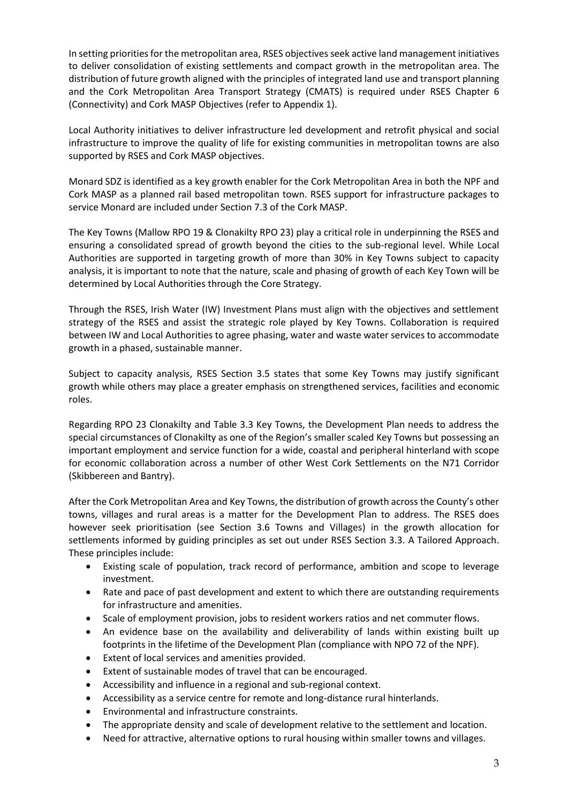In setting priorities for the metropolitan area, RSES objectives seek active land management initiatives to deliver consolidation of existing settlements and compact growth in the metropolitan area. The distribution of future growth aligned with the principles of integrated land use and transport planning and the Cork Metropolitan Area Transport Strategy (CMATS) is required under RSES Chapter 6 (Connectivity) and Cork MASP Objectives (refer to Appendix 1).

Local Authority initiatives to deliver infrastructure led development and retrofit physical and social infrastructure to improve the quality of life for existing communities in metropolitan towns are also supported by RSES and Cork MASP objectives.

Monard SDZ is identified as a key growth enabler for the Cork Metropolitan Area in both the NPF and Cork MASP as a planned rail based metropolitan town. RSES support for infrastructure packages to service Monard are included under Section 7.3 of the Cork MASP.

The Key Towns (Mallow RPO 19 & Clonakilty RPO 23) play a critical role in underpinning the RSES and ensuring a consolidated spread of growth beyond the cities to the sub-regional level. While Local Authorities are supported in targeting growth of more than 30% in Key Towns subject to capacity analysis, it is important to note that the nature, scale and phasing of growth of each Key Town will be determined by Local Authorities through the Core Strategy.

Through the RSES, Irish Water (IW) Investment Plans must align with the objectives and settlement strategy of the RSES and assist the strategic role played by Key Towns. Collaboration is required between IW and Local Authorities to agree phasing, water and waste water services to accommodate growth in a phased, sustainable manner.

Subject to capacity analysis, RSES Section 3.5 states that some Key Towns may justify significant growth while others may place a greater emphasis on strengthened services, facilities and economic roles.

Regarding RPO 23 Clonakilty and Table 3.3 Key Towns, the Development Plan needs to address the special circumstances of Clonakilty as one of the Region's smaller scaled Key Towns but possessing an important employment and service function for a wide, coastal and peripheral hinterland with scope for economic collaboration across a number of other West Cork Settlements on the N71 Corridor (Skibbereen and Bantry).

After the Cork Metropolitan Area and Key Towns, the distribution of growth across the County's other towns, villages and rural areas is a matter for the Development Plan to address. The RSES does however seek prioritisation (see Section 3.6 Towns and Villages) in the growth allocation for settlements informed by guiding principles as set out under RSES Section 3.3. A Tailored Approach. These principles include:

- Existing scale of population, track record of performance, ambition and scope to leverage investment.
- Rate and pace of past development and extent to which there are outstanding requirements for infrastructure and amenities.
- Scale of employment provision, jobs to resident workers ratios and net commuter flows.
- An evidence base on the availability and deliverability of lands within existing built up footprints in the lifetime of the Development Plan (compliance with NPO 72 of the NPF).
- Extent of local services and amenities provided.
- Extent of sustainable modes of travel that can be encouraged.
- Accessibility and influence in a regional and sub-regional context.
- Accessibility as a service centre for remote and long-distance rural hinterlands.
- Environmental and infrastructure constraints.
- The appropriate density and scale of development relative to the settlement and location.
- Need for attractive, alternative options to rural housing within smaller towns and villages.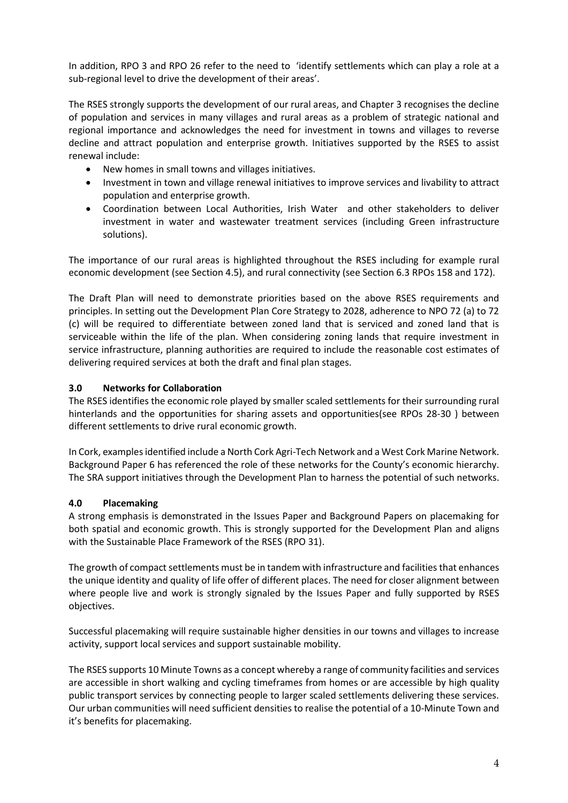In addition, RPO 3 and RPO 26 refer to the need to 'identify settlements which can play a role at a sub-regional level to drive the development of their areas'.

The RSES strongly supports the development of our rural areas, and Chapter 3 recognises the decline of population and services in many villages and rural areas as a problem of strategic national and regional importance and acknowledges the need for investment in towns and villages to reverse decline and attract population and enterprise growth. Initiatives supported by the RSES to assist renewal include:

- New homes in small towns and villages initiatives.
- Investment in town and village renewal initiatives to improve services and livability to attract population and enterprise growth.
- Coordination between Local Authorities, Irish Water and other stakeholders to deliver investment in water and wastewater treatment services (including Green infrastructure solutions).

The importance of our rural areas is highlighted throughout the RSES including for example rural economic development (see Section 4.5), and rural connectivity (see Section 6.3 RPOs 158 and 172).

The Draft Plan will need to demonstrate priorities based on the above RSES requirements and principles. In setting out the Development Plan Core Strategy to 2028, adherence to NPO 72 (a) to 72 (c) will be required to differentiate between zoned land that is serviced and zoned land that is serviceable within the life of the plan. When considering zoning lands that require investment in service infrastructure, planning authorities are required to include the reasonable cost estimates of delivering required services at both the draft and final plan stages.

## **3.0 Networks for Collaboration**

The RSES identifies the economic role played by smaller scaled settlements for their surrounding rural hinterlands and the opportunities for sharing assets and opportunities(see RPOs 28-30 ) between different settlements to drive rural economic growth.

In Cork, examples identified include a North Cork Agri-Tech Network and a West Cork Marine Network. Background Paper 6 has referenced the role of these networks for the County's economic hierarchy. The SRA support initiatives through the Development Plan to harness the potential of such networks.

## **4.0 Placemaking**

A strong emphasis is demonstrated in the Issues Paper and Background Papers on placemaking for both spatial and economic growth. This is strongly supported for the Development Plan and aligns with the Sustainable Place Framework of the RSES (RPO 31).

The growth of compact settlements must be in tandem with infrastructure and facilities that enhances the unique identity and quality of life offer of different places. The need for closer alignment between where people live and work is strongly signaled by the Issues Paper and fully supported by RSES objectives.

Successful placemaking will require sustainable higher densities in our towns and villages to increase activity, support local services and support sustainable mobility.

The RSES supports 10 Minute Towns as a concept whereby a range of community facilities and services are accessible in short walking and cycling timeframes from homes or are accessible by high quality public transport services by connecting people to larger scaled settlements delivering these services. Our urban communities will need sufficient densities to realise the potential of a 10-Minute Town and it's benefits for placemaking.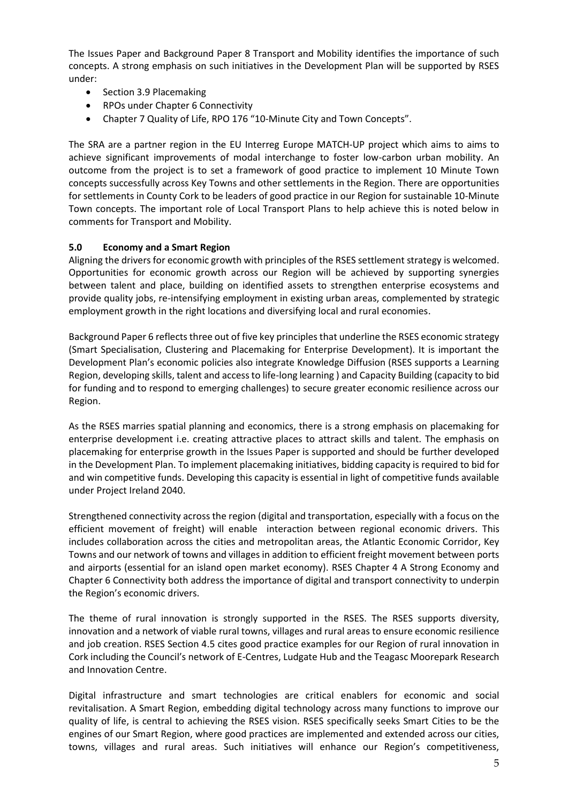The Issues Paper and Background Paper 8 Transport and Mobility identifies the importance of such concepts. A strong emphasis on such initiatives in the Development Plan will be supported by RSES under:

- Section 3.9 Placemaking
- RPOs under Chapter 6 Connectivity
- Chapter 7 Quality of Life, RPO 176 "10-Minute City and Town Concepts".

The SRA are a partner region in the EU Interreg Europe MATCH-UP project which aims to aims to achieve significant improvements of modal interchange to foster low-carbon urban mobility. An outcome from the project is to set a framework of good practice to implement 10 Minute Town concepts successfully across Key Towns and other settlements in the Region. There are opportunities for settlements in County Cork to be leaders of good practice in our Region for sustainable 10-Minute Town concepts. The important role of Local Transport Plans to help achieve this is noted below in comments for Transport and Mobility.

## **5.0 Economy and a Smart Region**

Aligning the drivers for economic growth with principles of the RSES settlement strategy is welcomed. Opportunities for economic growth across our Region will be achieved by supporting synergies between talent and place, building on identified assets to strengthen enterprise ecosystems and provide quality jobs, re-intensifying employment in existing urban areas, complemented by strategic employment growth in the right locations and diversifying local and rural economies.

Background Paper 6 reflects three out of five key principles that underline the RSES economic strategy (Smart Specialisation, Clustering and Placemaking for Enterprise Development). It is important the Development Plan's economic policies also integrate Knowledge Diffusion (RSES supports a Learning Region, developing skills, talent and access to life-long learning ) and Capacity Building (capacity to bid for funding and to respond to emerging challenges) to secure greater economic resilience across our Region.

As the RSES marries spatial planning and economics, there is a strong emphasis on placemaking for enterprise development i.e. creating attractive places to attract skills and talent. The emphasis on placemaking for enterprise growth in the Issues Paper is supported and should be further developed in the Development Plan. To implement placemaking initiatives, bidding capacity is required to bid for and win competitive funds. Developing this capacity is essential in light of competitive funds available under Project Ireland 2040.

Strengthened connectivity across the region (digital and transportation, especially with a focus on the efficient movement of freight) will enable interaction between regional economic drivers. This includes collaboration across the cities and metropolitan areas, the Atlantic Economic Corridor, Key Towns and our network of towns and villages in addition to efficient freight movement between ports and airports (essential for an island open market economy). RSES Chapter 4 A Strong Economy and Chapter 6 Connectivity both address the importance of digital and transport connectivity to underpin the Region's economic drivers.

The theme of rural innovation is strongly supported in the RSES. The RSES supports diversity, innovation and a network of viable rural towns, villages and rural areas to ensure economic resilience and job creation. RSES Section 4.5 cites good practice examples for our Region of rural innovation in Cork including the Council's network of E-Centres, Ludgate Hub and the Teagasc Moorepark Research and Innovation Centre.

Digital infrastructure and smart technologies are critical enablers for economic and social revitalisation. A Smart Region, embedding digital technology across many functions to improve our quality of life, is central to achieving the RSES vision. RSES specifically seeks Smart Cities to be the engines of our Smart Region, where good practices are implemented and extended across our cities, towns, villages and rural areas. Such initiatives will enhance our Region's competitiveness,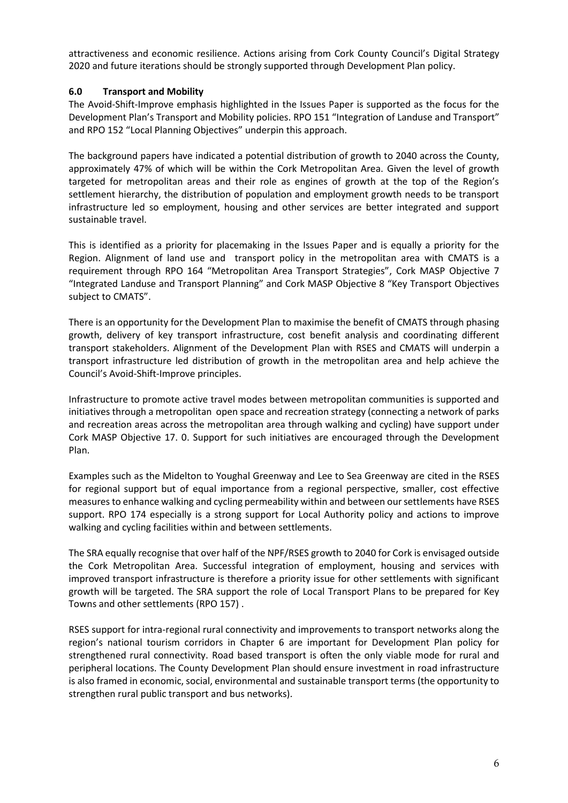attractiveness and economic resilience. Actions arising from Cork County Council's Digital Strategy 2020 and future iterations should be strongly supported through Development Plan policy.

### **6.0 Transport and Mobility**

The Avoid-Shift-Improve emphasis highlighted in the Issues Paper is supported as the focus for the Development Plan's Transport and Mobility policies. RPO 151 "Integration of Landuse and Transport" and RPO 152 "Local Planning Objectives" underpin this approach.

The background papers have indicated a potential distribution of growth to 2040 across the County, approximately 47% of which will be within the Cork Metropolitan Area. Given the level of growth targeted for metropolitan areas and their role as engines of growth at the top of the Region's settlement hierarchy, the distribution of population and employment growth needs to be transport infrastructure led so employment, housing and other services are better integrated and support sustainable travel.

This is identified as a priority for placemaking in the Issues Paper and is equally a priority for the Region. Alignment of land use and transport policy in the metropolitan area with CMATS is a requirement through RPO 164 "Metropolitan Area Transport Strategies", Cork MASP Objective 7 "Integrated Landuse and Transport Planning" and Cork MASP Objective 8 "Key Transport Objectives subject to CMATS".

There is an opportunity for the Development Plan to maximise the benefit of CMATS through phasing growth, delivery of key transport infrastructure, cost benefit analysis and coordinating different transport stakeholders. Alignment of the Development Plan with RSES and CMATS will underpin a transport infrastructure led distribution of growth in the metropolitan area and help achieve the Council's Avoid-Shift-Improve principles.

Infrastructure to promote active travel modes between metropolitan communities is supported and initiatives through a metropolitan open space and recreation strategy (connecting a network of parks and recreation areas across the metropolitan area through walking and cycling) have support under Cork MASP Objective 17. 0. Support for such initiatives are encouraged through the Development Plan.

Examples such as the Midelton to Youghal Greenway and Lee to Sea Greenway are cited in the RSES for regional support but of equal importance from a regional perspective, smaller, cost effective measures to enhance walking and cycling permeability within and between our settlements have RSES support. RPO 174 especially is a strong support for Local Authority policy and actions to improve walking and cycling facilities within and between settlements.

The SRA equally recognise that over half of the NPF/RSES growth to 2040 for Cork is envisaged outside the Cork Metropolitan Area. Successful integration of employment, housing and services with improved transport infrastructure is therefore a priority issue for other settlements with significant growth will be targeted. The SRA support the role of Local Transport Plans to be prepared for Key Towns and other settlements (RPO 157) .

RSES support for intra-regional rural connectivity and improvements to transport networks along the region's national tourism corridors in Chapter 6 are important for Development Plan policy for strengthened rural connectivity. Road based transport is often the only viable mode for rural and peripheral locations. The County Development Plan should ensure investment in road infrastructure is also framed in economic, social, environmental and sustainable transport terms (the opportunity to strengthen rural public transport and bus networks).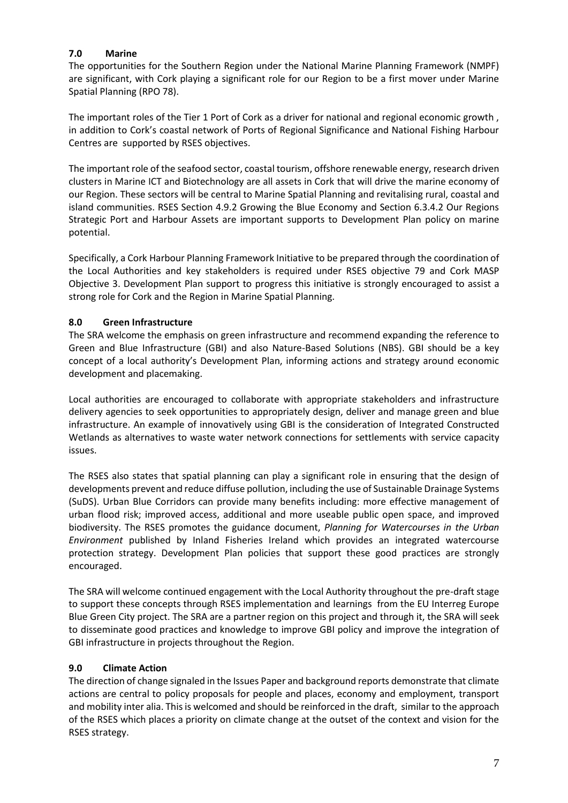# **7.0 Marine**

The opportunities for the Southern Region under the National Marine Planning Framework (NMPF) are significant, with Cork playing a significant role for our Region to be a first mover under Marine Spatial Planning (RPO 78).

The important roles of the Tier 1 Port of Cork as a driver for national and regional economic growth , in addition to Cork's coastal network of Ports of Regional Significance and National Fishing Harbour Centres are supported by RSES objectives.

The important role of the seafood sector, coastal tourism, offshore renewable energy, research driven clusters in Marine ICT and Biotechnology are all assets in Cork that will drive the marine economy of our Region. These sectors will be central to Marine Spatial Planning and revitalising rural, coastal and island communities. RSES Section 4.9.2 Growing the Blue Economy and Section 6.3.4.2 Our Regions Strategic Port and Harbour Assets are important supports to Development Plan policy on marine potential.

Specifically, a Cork Harbour Planning Framework Initiative to be prepared through the coordination of the Local Authorities and key stakeholders is required under RSES objective 79 and Cork MASP Objective 3. Development Plan support to progress this initiative is strongly encouraged to assist a strong role for Cork and the Region in Marine Spatial Planning.

# **8.0 Green Infrastructure**

The SRA welcome the emphasis on green infrastructure and recommend expanding the reference to Green and Blue Infrastructure (GBI) and also Nature-Based Solutions (NBS). GBI should be a key concept of a local authority's Development Plan, informing actions and strategy around economic development and placemaking.

Local authorities are encouraged to collaborate with appropriate stakeholders and infrastructure delivery agencies to seek opportunities to appropriately design, deliver and manage green and blue infrastructure. An example of innovatively using GBI is the consideration of Integrated Constructed Wetlands as alternatives to waste water network connections for settlements with service capacity issues.

The RSES also states that spatial planning can play a significant role in ensuring that the design of developments prevent and reduce diffuse pollution, including the use of Sustainable Drainage Systems (SuDS). Urban Blue Corridors can provide many benefits including: more effective management of urban flood risk; improved access, additional and more useable public open space, and improved biodiversity. The RSES promotes the guidance document, *Planning for Watercourses in the Urban Environment* published by Inland Fisheries Ireland which provides an integrated watercourse protection strategy. Development Plan policies that support these good practices are strongly encouraged.

The SRA will welcome continued engagement with the Local Authority throughout the pre-draft stage to support these concepts through RSES implementation and learnings from the EU Interreg Europe Blue Green City project. The SRA are a partner region on this project and through it, the SRA will seek to disseminate good practices and knowledge to improve GBI policy and improve the integration of GBI infrastructure in projects throughout the Region.

## **9.0 Climate Action**

The direction of change signaled in the Issues Paper and background reports demonstrate that climate actions are central to policy proposals for people and places, economy and employment, transport and mobility inter alia. This is welcomed and should be reinforced in the draft, similar to the approach of the RSES which places a priority on climate change at the outset of the context and vision for the RSES strategy.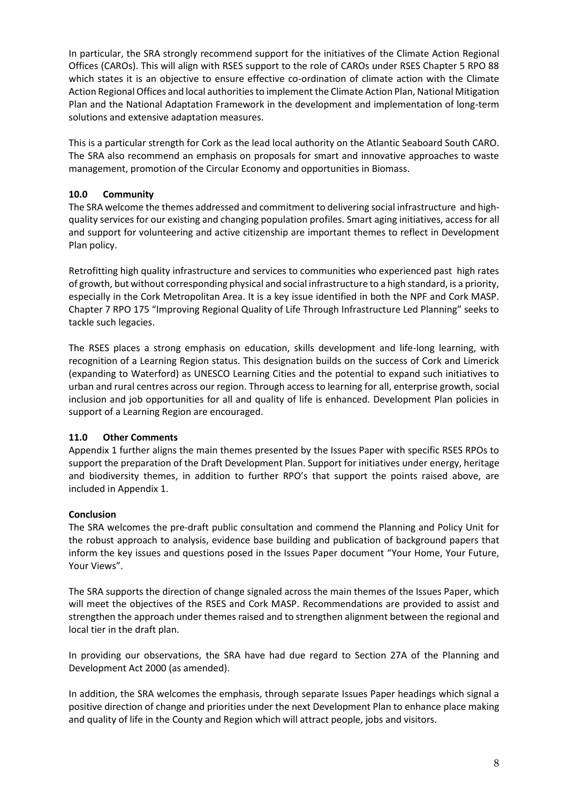In particular, the SRA strongly recommend support for the initiatives of the Climate Action Regional Offices (CAROs). This will align with RSES support to the role of CAROs under RSES Chapter 5 RPO 88 which states it is an objective to ensure effective co-ordination of climate action with the Climate Action Regional Offices and local authorities to implement the Climate Action Plan, National Mitigation Plan and the National Adaptation Framework in the development and implementation of long-term solutions and extensive adaptation measures.

This is a particular strength for Cork as the lead local authority on the Atlantic Seaboard South CARO. The SRA also recommend an emphasis on proposals for smart and innovative approaches to waste management, promotion of the Circular Economy and opportunities in Biomass.

# **10.0 Community**

The SRA welcome the themes addressed and commitment to delivering social infrastructure and highquality services for our existing and changing population profiles. Smart aging initiatives, access for all and support for volunteering and active citizenship are important themes to reflect in Development Plan policy.

Retrofitting high quality infrastructure and services to communities who experienced past high rates of growth, but without corresponding physical and social infrastructure to a high standard, is a priority, especially in the Cork Metropolitan Area. It is a key issue identified in both the NPF and Cork MASP. Chapter 7 RPO 175 "Improving Regional Quality of Life Through Infrastructure Led Planning" seeks to tackle such legacies.

The RSES places a strong emphasis on education, skills development and life-long learning, with recognition of a Learning Region status. This designation builds on the success of Cork and Limerick (expanding to Waterford) as UNESCO Learning Cities and the potential to expand such initiatives to urban and rural centres across our region. Through access to learning for all, enterprise growth, social inclusion and job opportunities for all and quality of life is enhanced. Development Plan policies in support of a Learning Region are encouraged.

## **11.0 Other Comments**

Appendix 1 further aligns the main themes presented by the Issues Paper with specific RSES RPOs to support the preparation of the Draft Development Plan. Support for initiatives under energy, heritage and biodiversity themes, in addition to further RPO's that support the points raised above, are included in Appendix 1.

## **Conclusion**

The SRA welcomes the pre-draft public consultation and commend the Planning and Policy Unit for the robust approach to analysis, evidence base building and publication of background papers that inform the key issues and questions posed in the Issues Paper document "Your Home, Your Future, Your Views".

The SRA supports the direction of change signaled across the main themes of the Issues Paper, which will meet the objectives of the RSES and Cork MASP. Recommendations are provided to assist and strengthen the approach under themes raised and to strengthen alignment between the regional and local tier in the draft plan.

In providing our observations, the SRA have had due regard to Section 27A of the Planning and Development Act 2000 (as amended).

In addition, the SRA welcomes the emphasis, through separate Issues Paper headings which signal a positive direction of change and priorities under the next Development Plan to enhance place making and quality of life in the County and Region which will attract people, jobs and visitors.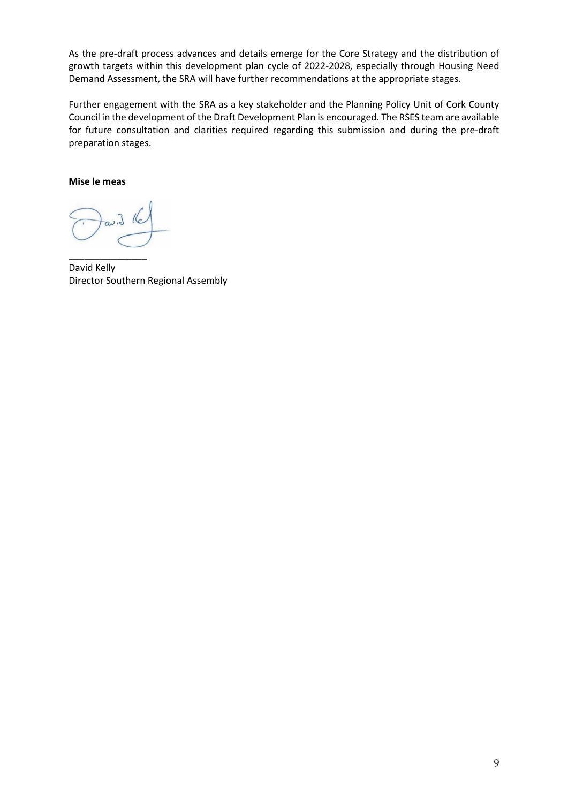As the pre-draft process advances and details emerge for the Core Strategy and the distribution of growth targets within this development plan cycle of 2022-2028, especially through Housing Need Demand Assessment, the SRA will have further recommendations at the appropriate stages.

Further engagement with the SRA as a key stakeholder and the Planning Policy Unit of Cork County Council in the development of the Draft Development Plan is encouraged. The RSES team are available for future consultation and clarities required regarding this submission and during the pre-draft preparation stages.

#### **Mise le meas**

\_\_\_\_\_\_\_\_\_\_\_\_\_\_\_ David Kelly Director Southern Regional Assembly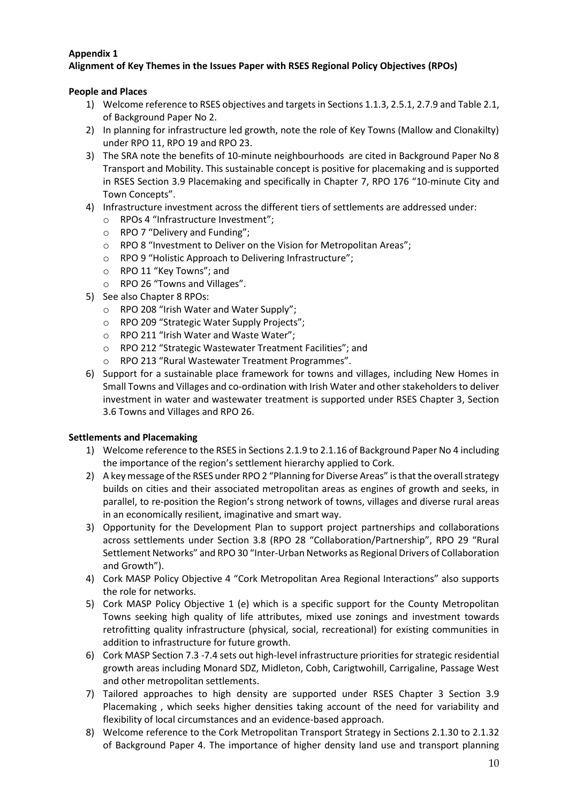# **Appendix 1**

# **Alignment of Key Themes in the Issues Paper with RSES Regional Policy Objectives (RPOs)**

### **People and Places**

- 1) Welcome reference to RSES objectives and targets in Sections 1.1.3, 2.5.1, 2.7.9 and Table 2.1, of Background Paper No 2.
- 2) In planning for infrastructure led growth, note the role of Key Towns (Mallow and Clonakilty) under RPO 11, RPO 19 and RPO 23.
- 3) The SRA note the benefits of 10-minute neighbourhoods are cited in Background Paper No 8 Transport and Mobility. This sustainable concept is positive for placemaking and is supported in RSES Section 3.9 Placemaking and specifically in Chapter 7, RPO 176 "10-minute City and Town Concepts".
- 4) Infrastructure investment across the different tiers of settlements are addressed under:
	- o RPOs 4 "Infrastructure Investment";
	- o RPO 7 "Delivery and Funding";
	- o RPO 8 "Investment to Deliver on the Vision for Metropolitan Areas";
	- o RPO 9 "Holistic Approach to Delivering Infrastructure";
	- o RPO 11 "Key Towns"; and
	- o RPO 26 "Towns and Villages".
- 5) See also Chapter 8 RPOs:
	- o RPO 208 "Irish Water and Water Supply";
	- o RPO 209 "Strategic Water Supply Projects";
	- o RPO 211 "Irish Water and Waste Water";
	- o RPO 212 "Strategic Wastewater Treatment Facilities"; and
	- o RPO 213 "Rural Wastewater Treatment Programmes".
- 6) Support for a sustainable place framework for towns and villages, including New Homes in Small Towns and Villages and co-ordination with Irish Water and other stakeholders to deliver investment in water and wastewater treatment is supported under RSES Chapter 3, Section 3.6 Towns and Villages and RPO 26.

#### **Settlements and Placemaking**

- 1) Welcome reference to the RSES in Sections 2.1.9 to 2.1.16 of Background Paper No 4 including the importance of the region's settlement hierarchy applied to Cork.
- 2) A key message of the RSES under RPO 2 "Planning for Diverse Areas" is that the overall strategy builds on cities and their associated metropolitan areas as engines of growth and seeks, in parallel, to re-position the Region's strong network of towns, villages and diverse rural areas in an economically resilient, imaginative and smart way.
- 3) Opportunity for the Development Plan to support project partnerships and collaborations across settlements under Section 3.8 (RPO 28 "Collaboration/Partnership", RPO 29 "Rural Settlement Networks" and RPO 30 "Inter-Urban Networks as Regional Drivers of Collaboration and Growth").
- 4) Cork MASP Policy Objective 4 "Cork Metropolitan Area Regional Interactions" also supports the role for networks.
- 5) Cork MASP Policy Objective 1 (e) which is a specific support for the County Metropolitan Towns seeking high quality of life attributes, mixed use zonings and investment towards retrofitting quality infrastructure (physical, social, recreational) for existing communities in addition to infrastructure for future growth.
- 6) Cork MASP Section 7.3 -7.4 sets out high-level infrastructure priorities for strategic residential growth areas including Monard SDZ, Midleton, Cobh, Carigtwohill, Carrigaline, Passage West and other metropolitan settlements.
- 7) Tailored approaches to high density are supported under RSES Chapter 3 Section 3.9 Placemaking , which seeks higher densities taking account of the need for variability and flexibility of local circumstances and an evidence-based approach.
- 8) Welcome reference to the Cork Metropolitan Transport Strategy in Sections 2.1.30 to 2.1.32 of Background Paper 4. The importance of higher density land use and transport planning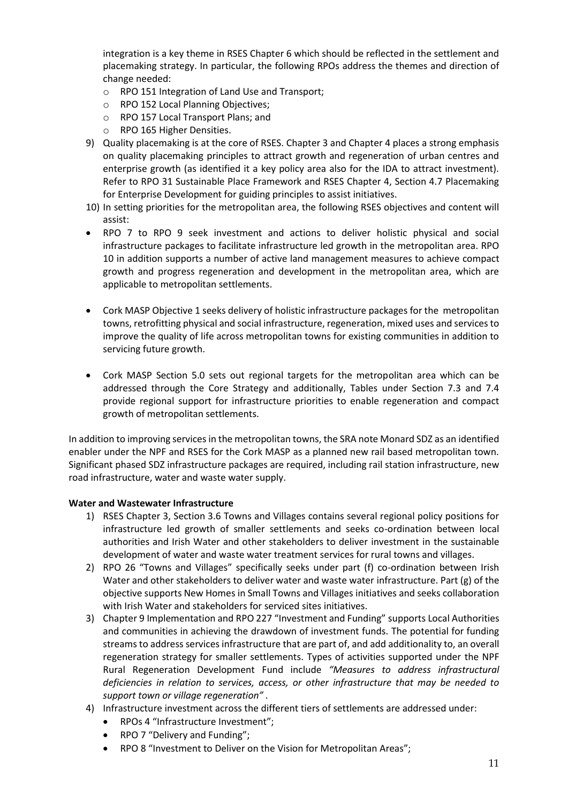integration is a key theme in RSES Chapter 6 which should be reflected in the settlement and placemaking strategy. In particular, the following RPOs address the themes and direction of change needed:

- o RPO 151 Integration of Land Use and Transport;
- o RPO 152 Local Planning Objectives;
- o RPO 157 Local Transport Plans; and
- o RPO 165 Higher Densities.
- 9) Quality placemaking is at the core of RSES. Chapter 3 and Chapter 4 places a strong emphasis on quality placemaking principles to attract growth and regeneration of urban centres and enterprise growth (as identified it a key policy area also for the IDA to attract investment). Refer to RPO 31 Sustainable Place Framework and RSES Chapter 4, Section 4.7 Placemaking for Enterprise Development for guiding principles to assist initiatives.
- 10) In setting priorities for the metropolitan area, the following RSES objectives and content will assist:
- RPO 7 to RPO 9 seek investment and actions to deliver holistic physical and social infrastructure packages to facilitate infrastructure led growth in the metropolitan area. RPO 10 in addition supports a number of active land management measures to achieve compact growth and progress regeneration and development in the metropolitan area, which are applicable to metropolitan settlements.
- Cork MASP Objective 1 seeks delivery of holistic infrastructure packages for the metropolitan towns, retrofitting physical and social infrastructure, regeneration, mixed uses and services to improve the quality of life across metropolitan towns for existing communities in addition to servicing future growth.
- Cork MASP Section 5.0 sets out regional targets for the metropolitan area which can be addressed through the Core Strategy and additionally, Tables under Section 7.3 and 7.4 provide regional support for infrastructure priorities to enable regeneration and compact growth of metropolitan settlements.

In addition to improving services in the metropolitan towns, the SRA note Monard SDZ as an identified enabler under the NPF and RSES for the Cork MASP as a planned new rail based metropolitan town. Significant phased SDZ infrastructure packages are required, including rail station infrastructure, new road infrastructure, water and waste water supply.

#### **Water and Wastewater Infrastructure**

- 1) RSES Chapter 3, Section 3.6 Towns and Villages contains several regional policy positions for infrastructure led growth of smaller settlements and seeks co-ordination between local authorities and Irish Water and other stakeholders to deliver investment in the sustainable development of water and waste water treatment services for rural towns and villages.
- 2) RPO 26 "Towns and Villages" specifically seeks under part (f) co-ordination between Irish Water and other stakeholders to deliver water and waste water infrastructure. Part (g) of the objective supports New Homes in Small Towns and Villages initiatives and seeks collaboration with Irish Water and stakeholders for serviced sites initiatives.
- 3) Chapter 9 Implementation and RPO 227 "Investment and Funding" supports Local Authorities and communities in achieving the drawdown of investment funds. The potential for funding streams to address services infrastructure that are part of, and add additionality to, an overall regeneration strategy for smaller settlements. Types of activities supported under the NPF Rural Regeneration Development Fund include *"Measures to address infrastructural deficiencies in relation to services, access, or other infrastructure that may be needed to support town or village regeneration" .*
- 4) Infrastructure investment across the different tiers of settlements are addressed under:
	- RPOs 4 "Infrastructure Investment";
	- RPO 7 "Delivery and Funding";
	- RPO 8 "Investment to Deliver on the Vision for Metropolitan Areas";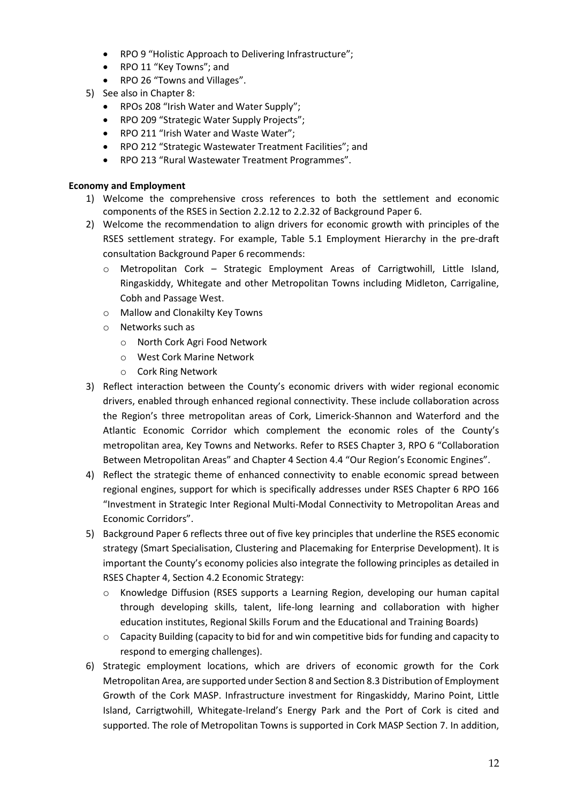- RPO 9 "Holistic Approach to Delivering Infrastructure";
- RPO 11 "Key Towns"; and
- RPO 26 "Towns and Villages".
- 5) See also in Chapter 8:
	- RPOs 208 "Irish Water and Water Supply";
	- RPO 209 "Strategic Water Supply Projects";
	- RPO 211 "Irish Water and Waste Water";
	- RPO 212 "Strategic Wastewater Treatment Facilities"; and
	- RPO 213 "Rural Wastewater Treatment Programmes".

## **Economy and Employment**

- 1) Welcome the comprehensive cross references to both the settlement and economic components of the RSES in Section 2.2.12 to 2.2.32 of Background Paper 6.
- 2) Welcome the recommendation to align drivers for economic growth with principles of the RSES settlement strategy. For example, Table 5.1 Employment Hierarchy in the pre-draft consultation Background Paper 6 recommends:
	- o Metropolitan Cork Strategic Employment Areas of Carrigtwohill, Little Island, Ringaskiddy, Whitegate and other Metropolitan Towns including Midleton, Carrigaline, Cobh and Passage West.
	- o Mallow and Clonakilty Key Towns
	- o Networks such as
		- o North Cork Agri Food Network
		- o West Cork Marine Network
		- o Cork Ring Network
- 3) Reflect interaction between the County's economic drivers with wider regional economic drivers, enabled through enhanced regional connectivity. These include collaboration across the Region's three metropolitan areas of Cork, Limerick-Shannon and Waterford and the Atlantic Economic Corridor which complement the economic roles of the County's metropolitan area, Key Towns and Networks. Refer to RSES Chapter 3, RPO 6 "Collaboration Between Metropolitan Areas" and Chapter 4 Section 4.4 "Our Region's Economic Engines".
- 4) Reflect the strategic theme of enhanced connectivity to enable economic spread between regional engines, support for which is specifically addresses under RSES Chapter 6 RPO 166 "Investment in Strategic Inter Regional Multi-Modal Connectivity to Metropolitan Areas and Economic Corridors".
- 5) Background Paper 6 reflects three out of five key principles that underline the RSES economic strategy (Smart Specialisation, Clustering and Placemaking for Enterprise Development). It is important the County's economy policies also integrate the following principles as detailed in RSES Chapter 4, Section 4.2 Economic Strategy:
	- o Knowledge Diffusion (RSES supports a Learning Region, developing our human capital through developing skills, talent, life-long learning and collaboration with higher education institutes, Regional Skills Forum and the Educational and Training Boards)
	- o Capacity Building (capacity to bid for and win competitive bids for funding and capacity to respond to emerging challenges).
- 6) Strategic employment locations, which are drivers of economic growth for the Cork Metropolitan Area, are supported under Section 8 and Section 8.3 Distribution of Employment Growth of the Cork MASP. Infrastructure investment for Ringaskiddy, Marino Point, Little Island, Carrigtwohill, Whitegate-Ireland's Energy Park and the Port of Cork is cited and supported. The role of Metropolitan Towns is supported in Cork MASP Section 7. In addition,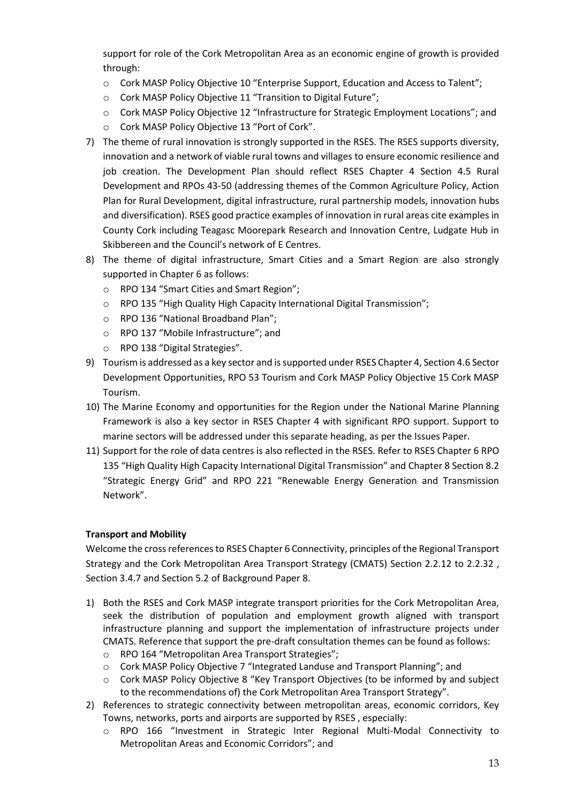support for role of the Cork Metropolitan Area as an economic engine of growth is provided through:

- o Cork MASP Policy Objective 10 "Enterprise Support, Education and Access to Talent";
- o Cork MASP Policy Objective 11 "Transition to Digital Future";
- o Cork MASP Policy Objective 12 "Infrastructure for Strategic Employment Locations"; and
- o Cork MASP Policy Objective 13 "Port of Cork".
- 7) The theme of rural innovation is strongly supported in the RSES. The RSES supports diversity, innovation and a network of viable rural towns and villages to ensure economic resilience and job creation. The Development Plan should reflect RSES Chapter 4 Section 4.5 Rural Development and RPOs 43-50 (addressing themes of the Common Agriculture Policy, Action Plan for Rural Development, digital infrastructure, rural partnership models, innovation hubs and diversification). RSES good practice examples of innovation in rural areas cite examples in County Cork including Teagasc Moorepark Research and Innovation Centre, Ludgate Hub in Skibbereen and the Council's network of E Centres.
- 8) The theme of digital infrastructure, Smart Cities and a Smart Region are also strongly supported in Chapter 6 as follows:
	- o RPO 134 "Smart Cities and Smart Region";
	- o RPO 135 "High Quality High Capacity International Digital Transmission";
	- o RPO 136 "National Broadband Plan";
	- o RPO 137 "Mobile Infrastructure"; and
	- o RPO 138 "Digital Strategies".
- 9) Tourism is addressed as a key sector and is supported under RSES Chapter 4, Section 4.6 Sector Development Opportunities, RPO 53 Tourism and Cork MASP Policy Objective 15 Cork MASP Tourism.
- 10) The Marine Economy and opportunities for the Region under the National Marine Planning Framework is also a key sector in RSES Chapter 4 with significant RPO support. Support to marine sectors will be addressed under this separate heading, as per the Issues Paper.
- 11) Support for the role of data centres is also reflected in the RSES. Refer to RSES Chapter 6 RPO 135 "High Quality High Capacity International Digital Transmission" and Chapter 8 Section 8.2 "Strategic Energy Grid" and RPO 221 "Renewable Energy Generation and Transmission Network".

## **Transport and Mobility**

Welcome the cross referencesto RSES Chapter 6 Connectivity, principles of the Regional Transport Strategy and the Cork Metropolitan Area Transport Strategy (CMATS) Section 2.2.12 to 2.2.32 , Section 3.4.7 and Section 5.2 of Background Paper 8.

- 1) Both the RSES and Cork MASP integrate transport priorities for the Cork Metropolitan Area, seek the distribution of population and employment growth aligned with transport infrastructure planning and support the implementation of infrastructure projects under CMATS. Reference that support the pre-draft consultation themes can be found as follows:
	- o RPO 164 "Metropolitan Area Transport Strategies";
	- o Cork MASP Policy Objective 7 "Integrated Landuse and Transport Planning"; and
	- o Cork MASP Policy Objective 8 "Key Transport Objectives (to be informed by and subject to the recommendations of) the Cork Metropolitan Area Transport Strategy".
- 2) References to strategic connectivity between metropolitan areas, economic corridors, Key Towns, networks, ports and airports are supported by RSES , especially:
	- o RPO 166 "Investment in Strategic Inter Regional Multi-Modal Connectivity to Metropolitan Areas and Economic Corridors"; and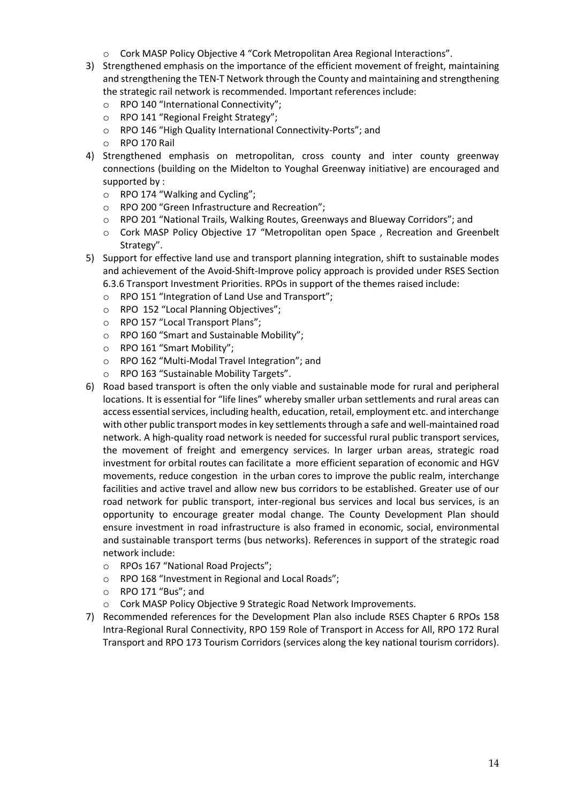- o Cork MASP Policy Objective 4 "Cork Metropolitan Area Regional Interactions".
- 3) Strengthened emphasis on the importance of the efficient movement of freight, maintaining and strengthening the TEN-T Network through the County and maintaining and strengthening the strategic rail network is recommended. Important references include:
	- o RPO 140 "International Connectivity";
	- o RPO 141 "Regional Freight Strategy";
	- o RPO 146 "High Quality International Connectivity-Ports"; and
	- o RPO 170 Rail
- 4) Strengthened emphasis on metropolitan, cross county and inter county greenway connections (building on the Midelton to Youghal Greenway initiative) are encouraged and supported by :
	- o RPO 174 "Walking and Cycling";
	- o RPO 200 "Green Infrastructure and Recreation";
	- o RPO 201 "National Trails, Walking Routes, Greenways and Blueway Corridors"; and
	- o Cork MASP Policy Objective 17 "Metropolitan open Space , Recreation and Greenbelt Strategy".
- 5) Support for effective land use and transport planning integration, shift to sustainable modes and achievement of the Avoid-Shift-Improve policy approach is provided under RSES Section 6.3.6 Transport Investment Priorities. RPOs in support of the themes raised include:
	- o RPO 151 "Integration of Land Use and Transport";
	- o RPO 152 "Local Planning Objectives";
	- o RPO 157 "Local Transport Plans";
	- o RPO 160 "Smart and Sustainable Mobility";
	- o RPO 161 "Smart Mobility";
	- o RPO 162 "Multi-Modal Travel Integration"; and
	- o RPO 163 "Sustainable Mobility Targets".
- 6) Road based transport is often the only viable and sustainable mode for rural and peripheral locations. It is essential for "life lines" whereby smaller urban settlements and rural areas can access essential services, including health, education, retail, employment etc. and interchange with other public transport modes in key settlements through a safe and well-maintained road network. A high-quality road network is needed for successful rural public transport services, the movement of freight and emergency services. In larger urban areas, strategic road investment for orbital routes can facilitate a more efficient separation of economic and HGV movements, reduce congestion in the urban cores to improve the public realm, interchange facilities and active travel and allow new bus corridors to be established. Greater use of our road network for public transport, inter-regional bus services and local bus services, is an opportunity to encourage greater modal change. The County Development Plan should ensure investment in road infrastructure is also framed in economic, social, environmental and sustainable transport terms (bus networks). References in support of the strategic road network include:
	- o RPOs 167 "National Road Projects";
	- o RPO 168 "Investment in Regional and Local Roads";
	- o RPO 171 "Bus"; and
	- o Cork MASP Policy Objective 9 Strategic Road Network Improvements.
- 7) Recommended references for the Development Plan also include RSES Chapter 6 RPOs 158 Intra-Regional Rural Connectivity, RPO 159 Role of Transport in Access for All, RPO 172 Rural Transport and RPO 173 Tourism Corridors (services along the key national tourism corridors).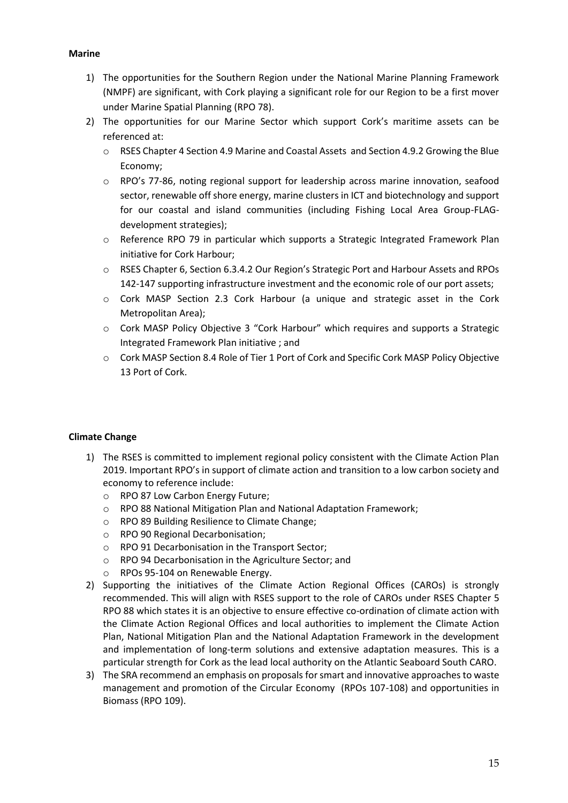#### **Marine**

- 1) The opportunities for the Southern Region under the National Marine Planning Framework (NMPF) are significant, with Cork playing a significant role for our Region to be a first mover under Marine Spatial Planning (RPO 78).
- 2) The opportunities for our Marine Sector which support Cork's maritime assets can be referenced at:
	- o RSES Chapter 4 Section 4.9 Marine and Coastal Assets and Section 4.9.2 Growing the Blue Economy;
	- o RPO's 77-86, noting regional support for leadership across marine innovation, seafood sector, renewable off shore energy, marine clusters in ICT and biotechnology and support for our coastal and island communities (including Fishing Local Area Group-FLAGdevelopment strategies);
	- o Reference RPO 79 in particular which supports a Strategic Integrated Framework Plan initiative for Cork Harbour;
	- o RSES Chapter 6, Section 6.3.4.2 Our Region's Strategic Port and Harbour Assets and RPOs 142-147 supporting infrastructure investment and the economic role of our port assets;
	- o Cork MASP Section 2.3 Cork Harbour (a unique and strategic asset in the Cork Metropolitan Area);
	- o Cork MASP Policy Objective 3 "Cork Harbour" which requires and supports a Strategic Integrated Framework Plan initiative ; and
	- o Cork MASP Section 8.4 Role of Tier 1 Port of Cork and Specific Cork MASP Policy Objective 13 Port of Cork.

## **Climate Change**

- 1) The RSES is committed to implement regional policy consistent with the Climate Action Plan 2019. Important RPO's in support of climate action and transition to a low carbon society and economy to reference include:
	- o RPO 87 Low Carbon Energy Future;
	- o RPO 88 National Mitigation Plan and National Adaptation Framework;
	- o RPO 89 Building Resilience to Climate Change;
	- o RPO 90 Regional Decarbonisation;
	- o RPO 91 Decarbonisation in the Transport Sector;
	- o RPO 94 Decarbonisation in the Agriculture Sector; and
	- o RPOs 95-104 on Renewable Energy.
- 2) Supporting the initiatives of the Climate Action Regional Offices (CAROs) is strongly recommended. This will align with RSES support to the role of CAROs under RSES Chapter 5 RPO 88 which states it is an objective to ensure effective co-ordination of climate action with the Climate Action Regional Offices and local authorities to implement the Climate Action Plan, National Mitigation Plan and the National Adaptation Framework in the development and implementation of long-term solutions and extensive adaptation measures. This is a particular strength for Cork as the lead local authority on the Atlantic Seaboard South CARO.
- 3) The SRA recommend an emphasis on proposals for smart and innovative approaches to waste management and promotion of the Circular Economy (RPOs 107-108) and opportunities in Biomass (RPO 109).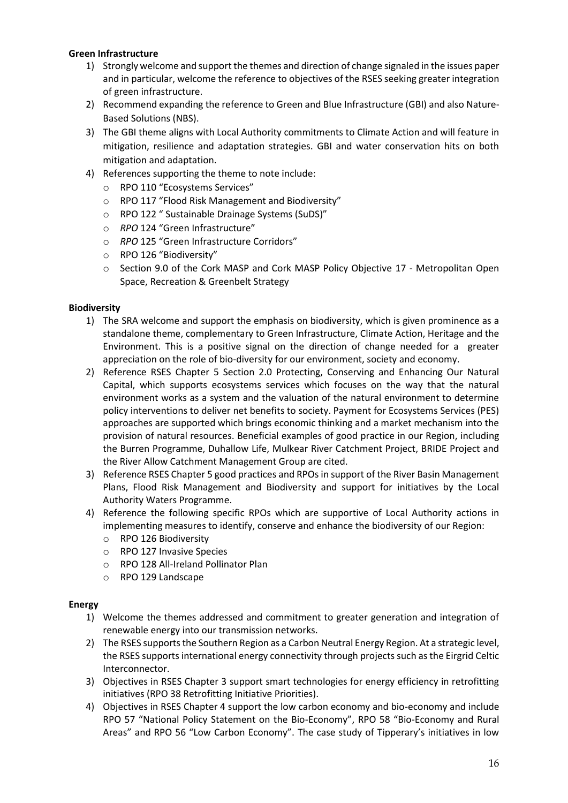#### **Green Infrastructure**

- 1) Strongly welcome and support the themes and direction of change signaled in the issues paper and in particular, welcome the reference to objectives of the RSES seeking greater integration of green infrastructure.
- 2) Recommend expanding the reference to Green and Blue Infrastructure (GBI) and also Nature-Based Solutions (NBS).
- 3) The GBI theme aligns with Local Authority commitments to Climate Action and will feature in mitigation, resilience and adaptation strategies. GBI and water conservation hits on both mitigation and adaptation.
- 4) References supporting the theme to note include:
	- o RPO 110 "Ecosystems Services"
	- o RPO 117 "Flood Risk Management and Biodiversity"
	- o RPO 122 " Sustainable Drainage Systems (SuDS)"
	- o *RPO* 124 "Green Infrastructure"
	- o *RPO* 125 "Green Infrastructure Corridors"
	- o RPO 126 "Biodiversity"
	- o Section 9.0 of the Cork MASP and Cork MASP Policy Objective 17 Metropolitan Open Space, Recreation & Greenbelt Strategy

#### **Biodiversity**

- 1) The SRA welcome and support the emphasis on biodiversity, which is given prominence as a standalone theme, complementary to Green Infrastructure, Climate Action, Heritage and the Environment. This is a positive signal on the direction of change needed for a greater appreciation on the role of bio-diversity for our environment, society and economy.
- 2) Reference RSES Chapter 5 Section 2.0 Protecting, Conserving and Enhancing Our Natural Capital, which supports ecosystems services which focuses on the way that the natural environment works as a system and the valuation of the natural environment to determine policy interventions to deliver net benefits to society. Payment for Ecosystems Services (PES) approaches are supported which brings economic thinking and a market mechanism into the provision of natural resources. Beneficial examples of good practice in our Region, including the Burren Programme, Duhallow Life, Mulkear River Catchment Project, BRIDE Project and the River Allow Catchment Management Group are cited.
- 3) Reference RSES Chapter 5 good practices and RPOs in support of the River Basin Management Plans, Flood Risk Management and Biodiversity and support for initiatives by the Local Authority Waters Programme.
- 4) Reference the following specific RPOs which are supportive of Local Authority actions in implementing measures to identify, conserve and enhance the biodiversity of our Region:
	- o RPO 126 Biodiversity
	- o RPO 127 Invasive Species
	- o RPO 128 All-Ireland Pollinator Plan
	- o RPO 129 Landscape

#### **Energy**

- 1) Welcome the themes addressed and commitment to greater generation and integration of renewable energy into our transmission networks.
- 2) The RSES supports the Southern Region as a Carbon Neutral Energy Region. At a strategic level, the RSES supports international energy connectivity through projects such as the Eirgrid Celtic Interconnector.
- 3) Objectives in RSES Chapter 3 support smart technologies for energy efficiency in retrofitting initiatives (RPO 38 Retrofitting Initiative Priorities).
- 4) Objectives in RSES Chapter 4 support the low carbon economy and bio-economy and include RPO 57 "National Policy Statement on the Bio-Economy", RPO 58 "Bio-Economy and Rural Areas" and RPO 56 "Low Carbon Economy". The case study of Tipperary's initiatives in low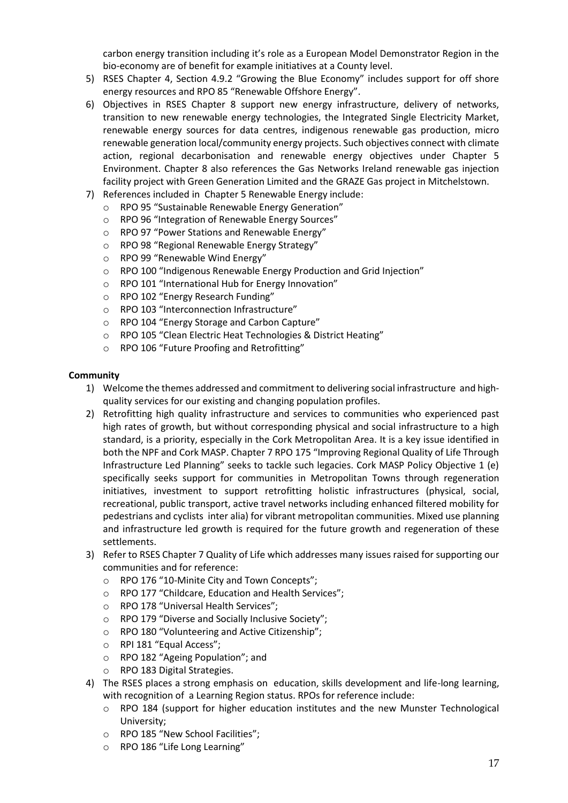carbon energy transition including it's role as a European Model Demonstrator Region in the bio-economy are of benefit for example initiatives at a County level.

- 5) RSES Chapter 4, Section 4.9.2 "Growing the Blue Economy" includes support for off shore energy resources and RPO 85 "Renewable Offshore Energy".
- 6) Objectives in RSES Chapter 8 support new energy infrastructure, delivery of networks, transition to new renewable energy technologies, the Integrated Single Electricity Market, renewable energy sources for data centres, indigenous renewable gas production, micro renewable generation local/community energy projects. Such objectives connect with climate action, regional decarbonisation and renewable energy objectives under Chapter 5 Environment. Chapter 8 also references the Gas Networks Ireland renewable gas injection facility project with Green Generation Limited and the GRAZE Gas project in Mitchelstown.
- 7) References included in Chapter 5 Renewable Energy include:
	- o RPO 95 "Sustainable Renewable Energy Generation"
	- o RPO 96 "Integration of Renewable Energy Sources"
	- o RPO 97 "Power Stations and Renewable Energy"
	- o RPO 98 "Regional Renewable Energy Strategy"
	- o RPO 99 "Renewable Wind Energy"
	- o RPO 100 "Indigenous Renewable Energy Production and Grid Injection"
	- o RPO 101 "International Hub for Energy Innovation"
	- o RPO 102 "Energy Research Funding"
	- o RPO 103 "Interconnection Infrastructure"
	- o RPO 104 "Energy Storage and Carbon Capture"
	- o RPO 105 "Clean Electric Heat Technologies & District Heating"
	- o RPO 106 "Future Proofing and Retrofitting"

#### **Community**

- 1) Welcome the themes addressed and commitment to delivering social infrastructure and highquality services for our existing and changing population profiles.
- 2) Retrofitting high quality infrastructure and services to communities who experienced past high rates of growth, but without corresponding physical and social infrastructure to a high standard, is a priority, especially in the Cork Metropolitan Area. It is a key issue identified in both the NPF and Cork MASP. Chapter 7 RPO 175 "Improving Regional Quality of Life Through Infrastructure Led Planning" seeks to tackle such legacies. Cork MASP Policy Objective 1 (e) specifically seeks support for communities in Metropolitan Towns through regeneration initiatives, investment to support retrofitting holistic infrastructures (physical, social, recreational, public transport, active travel networks including enhanced filtered mobility for pedestrians and cyclists inter alia) for vibrant metropolitan communities. Mixed use planning and infrastructure led growth is required for the future growth and regeneration of these settlements.
- 3) Refer to RSES Chapter 7 Quality of Life which addresses many issues raised for supporting our communities and for reference:
	- o RPO 176 "10-Minite City and Town Concepts";
	- o RPO 177 "Childcare, Education and Health Services";
	- o RPO 178 "Universal Health Services";
	- o RPO 179 "Diverse and Socially Inclusive Society";
	- o RPO 180 "Volunteering and Active Citizenship";
	- o RPI 181 "Equal Access";
	- o RPO 182 "Ageing Population"; and
	- o RPO 183 Digital Strategies.
- 4) The RSES places a strong emphasis on education, skills development and life-long learning, with recognition of a Learning Region status. RPOs for reference include:
	- o RPO 184 (support for higher education institutes and the new Munster Technological University;
	- o RPO 185 "New School Facilities";
	- o RPO 186 "Life Long Learning"